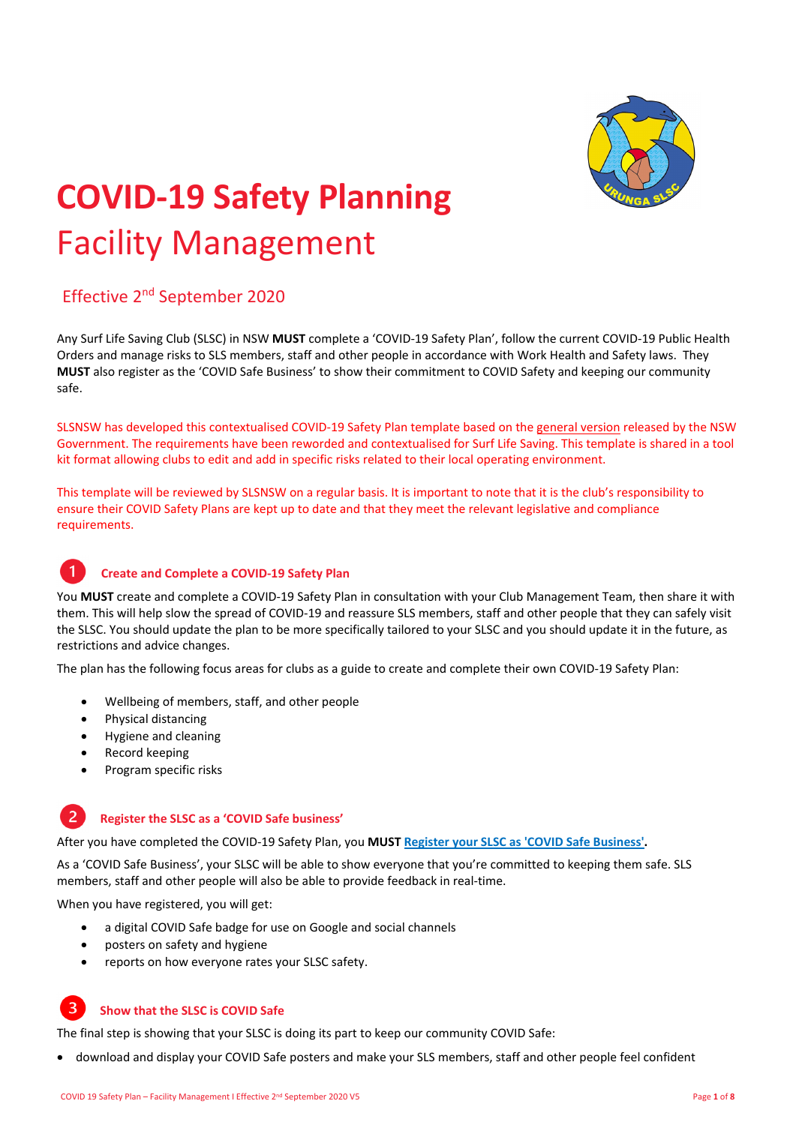

# **COVID‐19 Safety Planning**  Facility Management

## Effective 2nd September 2020

Any Surf Life Saving Club (SLSC) in NSW **MUST** complete a 'COVID‐19 Safety Plan', follow the current COVID‐19 Public Health Orders and manage risks to SLS members, staff and other people in accordance with Work Health and Safety laws. They **MUST** also register as the 'COVID Safe Business' to show their commitment to COVID Safety and keeping our community safe.

SLSNSW has developed this contextualised COVID‐19 Safety Plan template based on the general version released by the NSW Government. The requirements have been reworded and contextualised for Surf Life Saving. This template is shared in a tool kit format allowing clubs to edit and add in specific risks related to their local operating environment.

This template will be reviewed by SLSNSW on a regular basis. It is important to note that it is the club's responsibility to ensure their COVID Safety Plans are kept up to date and that they meet the relevant legislative and compliance requirements.

#### 1 **Create and Complete a COVID‐19 Safety Plan**

You MUST create and complete a COVID-19 Safety Plan in consultation with your Club Management Team, then share it with them. This will help slow the spread of COVID‐19 and reassure SLS members, staff and other people that they can safely visit the SLSC. You should update the plan to be more specifically tailored to your SLSC and you should update it in the future, as restrictions and advice changes.

The plan has the following focus areas for clubs as a guide to create and complete their own COVID‐19 Safety Plan:

- Wellbeing of members, staff, and other people
- Physical distancing
- Hygiene and cleaning
- Record keeping
- Program specific risks

#### $\overline{z}$ **Register the SLSC as a 'COVID Safe business'**

After you have completed the COVID‐19 Safety Plan, you **MUST Register your SLSC as 'COVID Safe Business'.**

As a 'COVID Safe Business', your SLSC will be able to show everyone that you're committed to keeping them safe. SLS members, staff and other people will also be able to provide feedback in real‐time.

When you have registered, you will get:

- a digital COVID Safe badge for use on Google and social channels
- posters on safety and hygiene
- reports on how everyone rates your SLSC safety.

#### **Show that the SLSC is COVID Safe**

The final step is showing that your SLSC is doing its part to keep our community COVID Safe:

download and display your COVID Safe posters and make your SLS members, staff and other people feel confident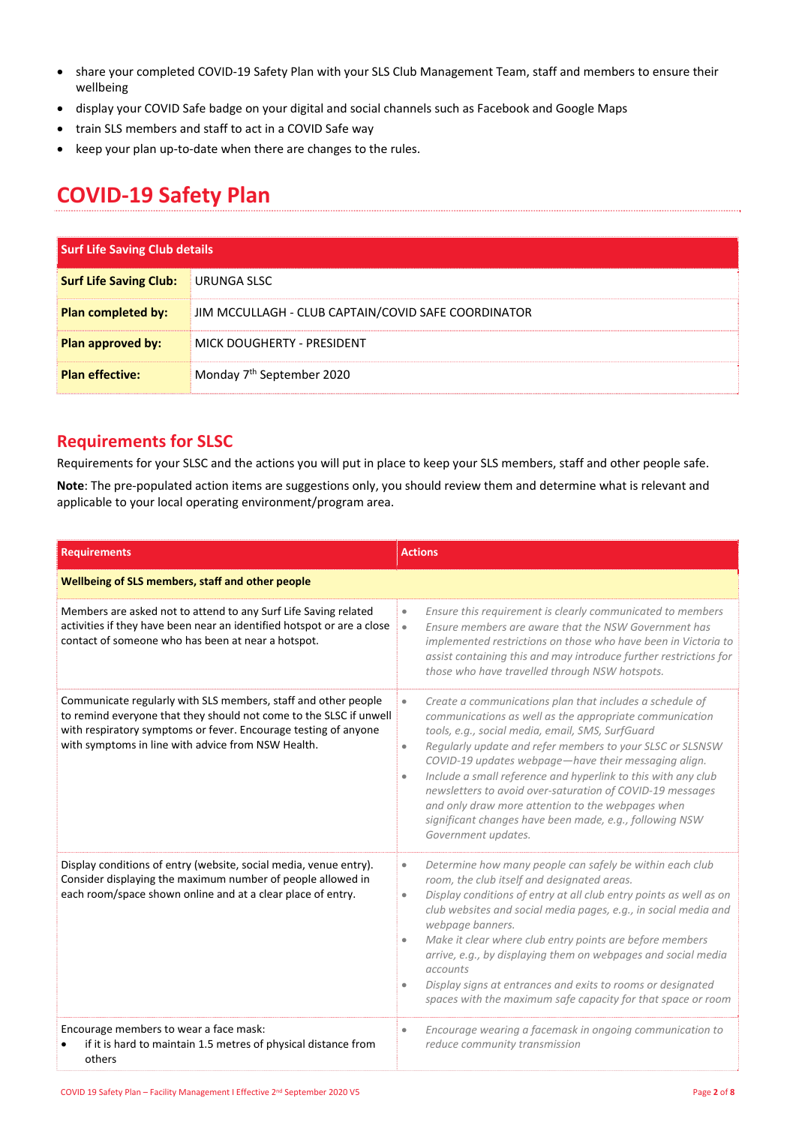- share your completed COVID‐19 Safety Plan with your SLS Club Management Team, staff and members to ensure their wellbeing
- display your COVID Safe badge on your digital and social channels such as Facebook and Google Maps
- train SLS members and staff to act in a COVID Safe way
- keep your plan up-to-date when there are changes to the rules.

# **COVID‐19 Safety Plan**

| <b>Surf Life Saving Club details</b> |                                                     |
|--------------------------------------|-----------------------------------------------------|
| <b>Surf Life Saving Club:</b>        | URUNGA SLSC                                         |
| <b>Plan completed by:</b>            | JIM MCCULLAGH - CLUB CAPTAIN/COVID SAFE COORDINATOR |
| <b>Plan approved by:</b>             | MICK DOUGHERTY - PRESIDENT                          |
| <b>Plan effective:</b>               | Monday 7 <sup>th</sup> September 2020               |

### **Requirements for SLSC**

Requirements for your SLSC and the actions you will put in place to keep your SLS members, staff and other people safe.

**Note**: The pre‐populated action items are suggestions only, you should review them and determine what is relevant and applicable to your local operating environment/program area.

| <b>Requirements</b>                                                                                                                                                                                                                                           | <b>Actions</b>                                                                                                                                                                                                                                                                                                                                                                                                                                                                                                                                                                                                  |  |
|---------------------------------------------------------------------------------------------------------------------------------------------------------------------------------------------------------------------------------------------------------------|-----------------------------------------------------------------------------------------------------------------------------------------------------------------------------------------------------------------------------------------------------------------------------------------------------------------------------------------------------------------------------------------------------------------------------------------------------------------------------------------------------------------------------------------------------------------------------------------------------------------|--|
| Wellbeing of SLS members, staff and other people                                                                                                                                                                                                              |                                                                                                                                                                                                                                                                                                                                                                                                                                                                                                                                                                                                                 |  |
| Members are asked not to attend to any Surf Life Saving related<br>activities if they have been near an identified hotspot or are a close<br>contact of someone who has been at near a hotspot.                                                               | Ensure this requirement is clearly communicated to members<br>$\bullet$<br>Ensure members are aware that the NSW Government has<br>$\bullet$<br>implemented restrictions on those who have been in Victoria to<br>assist containing this and may introduce further restrictions for<br>those who have travelled through NSW hotspots.                                                                                                                                                                                                                                                                           |  |
| Communicate regularly with SLS members, staff and other people<br>to remind everyone that they should not come to the SLSC if unwell<br>with respiratory symptoms or fever. Encourage testing of anyone<br>with symptoms in line with advice from NSW Health. | Create a communications plan that includes a schedule of<br>$\bullet$<br>communications as well as the appropriate communication<br>tools, e.g., social media, email, SMS, SurfGuard<br>Regularly update and refer members to your SLSC or SLSNSW<br>$\bullet$<br>COVID-19 updates webpage-have their messaging align.<br>Include a small reference and hyperlink to this with any club<br>$\bullet$<br>newsletters to avoid over-saturation of COVID-19 messages<br>and only draw more attention to the webpages when<br>significant changes have been made, e.g., following NSW<br>Government updates.        |  |
| Display conditions of entry (website, social media, venue entry).<br>Consider displaying the maximum number of people allowed in<br>each room/space shown online and at a clear place of entry.                                                               | Determine how many people can safely be within each club<br>$\qquad \qquad \bullet$<br>room, the club itself and designated areas.<br>Display conditions of entry at all club entry points as well as on<br>$\qquad \qquad \bullet$<br>club websites and social media pages, e.g., in social media and<br>webpage banners.<br>Make it clear where club entry points are before members<br>$\bullet$<br>arrive, e.g., by displaying them on webpages and social media<br>accounts<br>Display signs at entrances and exits to rooms or designated<br>spaces with the maximum safe capacity for that space or room |  |
| Encourage members to wear a face mask:<br>if it is hard to maintain 1.5 metres of physical distance from<br>others                                                                                                                                            | Encourage wearing a facemask in ongoing communication to<br>reduce community transmission                                                                                                                                                                                                                                                                                                                                                                                                                                                                                                                       |  |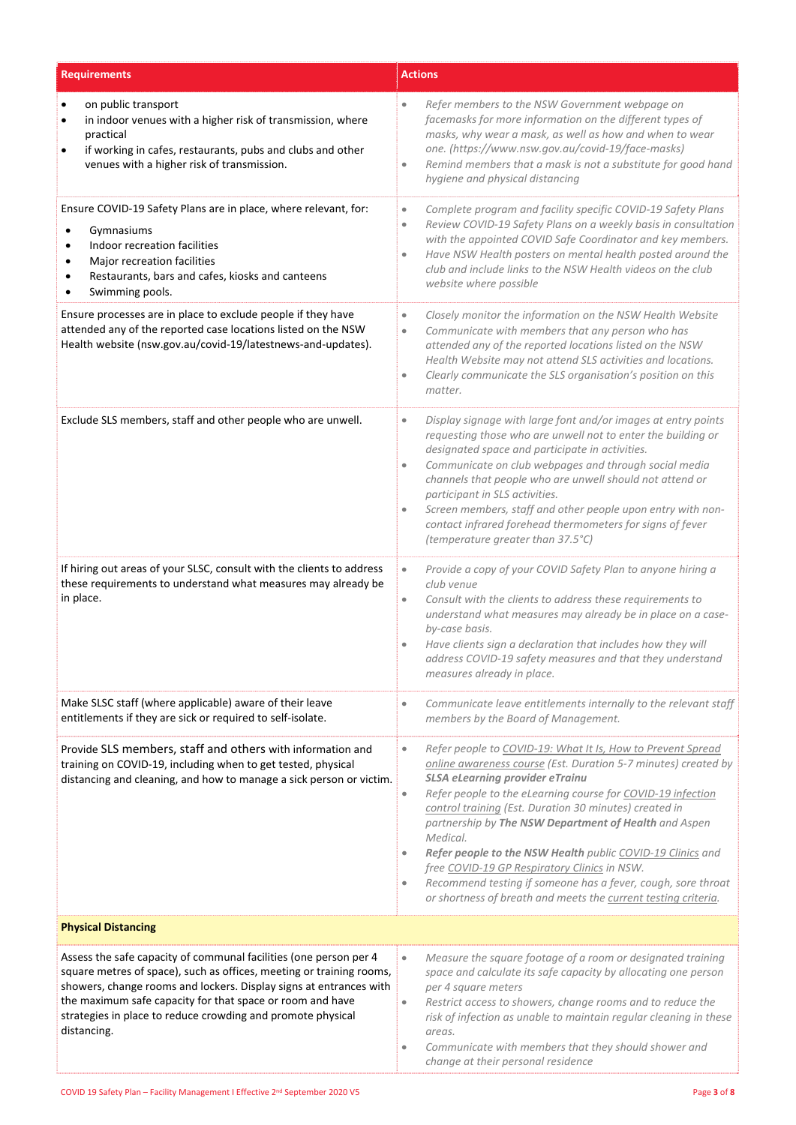| <b>Requirements</b>                                                                                                                                                                                                                                                                                                                                        | <b>Actions</b>                                                                                                                                                                                                                                                                                                                                                                                                                                                                                                                                                                                                                                                      |
|------------------------------------------------------------------------------------------------------------------------------------------------------------------------------------------------------------------------------------------------------------------------------------------------------------------------------------------------------------|---------------------------------------------------------------------------------------------------------------------------------------------------------------------------------------------------------------------------------------------------------------------------------------------------------------------------------------------------------------------------------------------------------------------------------------------------------------------------------------------------------------------------------------------------------------------------------------------------------------------------------------------------------------------|
| on public transport<br>٠<br>in indoor venues with a higher risk of transmission, where<br>$\bullet$<br>practical<br>if working in cafes, restaurants, pubs and clubs and other<br>venues with a higher risk of transmission.                                                                                                                               | Refer members to the NSW Government webpage on<br>$\bullet$<br>facemasks for more information on the different types of<br>masks, why wear a mask, as well as how and when to wear<br>one. (https://www.nsw.gov.au/covid-19/face-masks)<br>Remind members that a mask is not a substitute for good hand<br>$\bullet$<br>hygiene and physical distancing                                                                                                                                                                                                                                                                                                             |
| Ensure COVID-19 Safety Plans are in place, where relevant, for:<br>Gymnasiums<br>Indoor recreation facilities<br>$\bullet$<br>Major recreation facilities<br>$\bullet$<br>Restaurants, bars and cafes, kiosks and canteens<br>$\bullet$<br>Swimming pools.                                                                                                 | Complete program and facility specific COVID-19 Safety Plans<br>$\bullet$<br>Review COVID-19 Safety Plans on a weekly basis in consultation<br>$\bullet$<br>with the appointed COVID Safe Coordinator and key members.<br>Have NSW Health posters on mental health posted around the<br>$\bullet$<br>club and include links to the NSW Health videos on the club<br>website where possible                                                                                                                                                                                                                                                                          |
| Ensure processes are in place to exclude people if they have<br>attended any of the reported case locations listed on the NSW<br>Health website (nsw.gov.au/covid-19/latestnews-and-updates).                                                                                                                                                              | Closely monitor the information on the NSW Health Website<br>$\bullet$<br>Communicate with members that any person who has<br>۰<br>attended any of the reported locations listed on the NSW<br>Health Website may not attend SLS activities and locations.<br>Clearly communicate the SLS organisation's position on this<br>$\bullet$<br>matter.                                                                                                                                                                                                                                                                                                                   |
| Exclude SLS members, staff and other people who are unwell.                                                                                                                                                                                                                                                                                                | Display signage with large font and/or images at entry points<br>$\bullet$<br>requesting those who are unwell not to enter the building or<br>designated space and participate in activities.<br>Communicate on club webpages and through social media<br>$\bullet$<br>channels that people who are unwell should not attend or<br>participant in SLS activities.<br>Screen members, staff and other people upon entry with non-<br>$\bullet$<br>contact infrared forehead thermometers for signs of fever<br>(temperature greater than 37.5°C)                                                                                                                     |
| If hiring out areas of your SLSC, consult with the clients to address<br>these requirements to understand what measures may already be<br>in place.                                                                                                                                                                                                        | Provide a copy of your COVID Safety Plan to anyone hiring a<br>$\bullet$<br>club venue<br>Consult with the clients to address these requirements to<br>$\bullet$<br>understand what measures may already be in place on a case-<br>by-case basis.<br>Have clients sign a declaration that includes how they will<br>$\bullet$<br>address COVID-19 safety measures and that they understand<br>measures already in place.                                                                                                                                                                                                                                            |
| Make SLSC staff (where applicable) aware of their leave<br>entitlements if they are sick or required to self-isolate.                                                                                                                                                                                                                                      | Communicate leave entitlements internally to the relevant staff<br>$\bullet$<br>members by the Board of Management.                                                                                                                                                                                                                                                                                                                                                                                                                                                                                                                                                 |
| Provide SLS members, staff and others with information and<br>training on COVID-19, including when to get tested, physical<br>distancing and cleaning, and how to manage a sick person or victim.                                                                                                                                                          | Refer people to COVID-19: What It Is, How to Prevent Spread<br>$\qquad \qquad \bullet$<br>online awareness course (Est. Duration 5-7 minutes) created by<br>SLSA eLearning provider eTrainu<br>Refer people to the eLearning course for COVID-19 infection<br>$\bullet$<br>control training (Est. Duration 30 minutes) created in<br>partnership by The NSW Department of Health and Aspen<br>Medical.<br>Refer people to the NSW Health public COVID-19 Clinics and<br>free COVID-19 GP Respiratory Clinics in NSW.<br>Recommend testing if someone has a fever, cough, sore throat<br>$\bullet$<br>or shortness of breath and meets the current testing criteria. |
| <b>Physical Distancing</b>                                                                                                                                                                                                                                                                                                                                 |                                                                                                                                                                                                                                                                                                                                                                                                                                                                                                                                                                                                                                                                     |
| Assess the safe capacity of communal facilities (one person per 4<br>square metres of space), such as offices, meeting or training rooms,<br>showers, change rooms and lockers. Display signs at entrances with<br>the maximum safe capacity for that space or room and have<br>strategies in place to reduce crowding and promote physical<br>distancing. | Measure the square footage of a room or designated training<br>$\bullet$<br>space and calculate its safe capacity by allocating one person<br>per 4 square meters<br>Restrict access to showers, change rooms and to reduce the<br>$\bullet$<br>risk of infection as unable to maintain regular cleaning in these<br>areas.<br>Communicate with members that they should shower and<br>$\bullet$<br>change at their personal residence                                                                                                                                                                                                                              |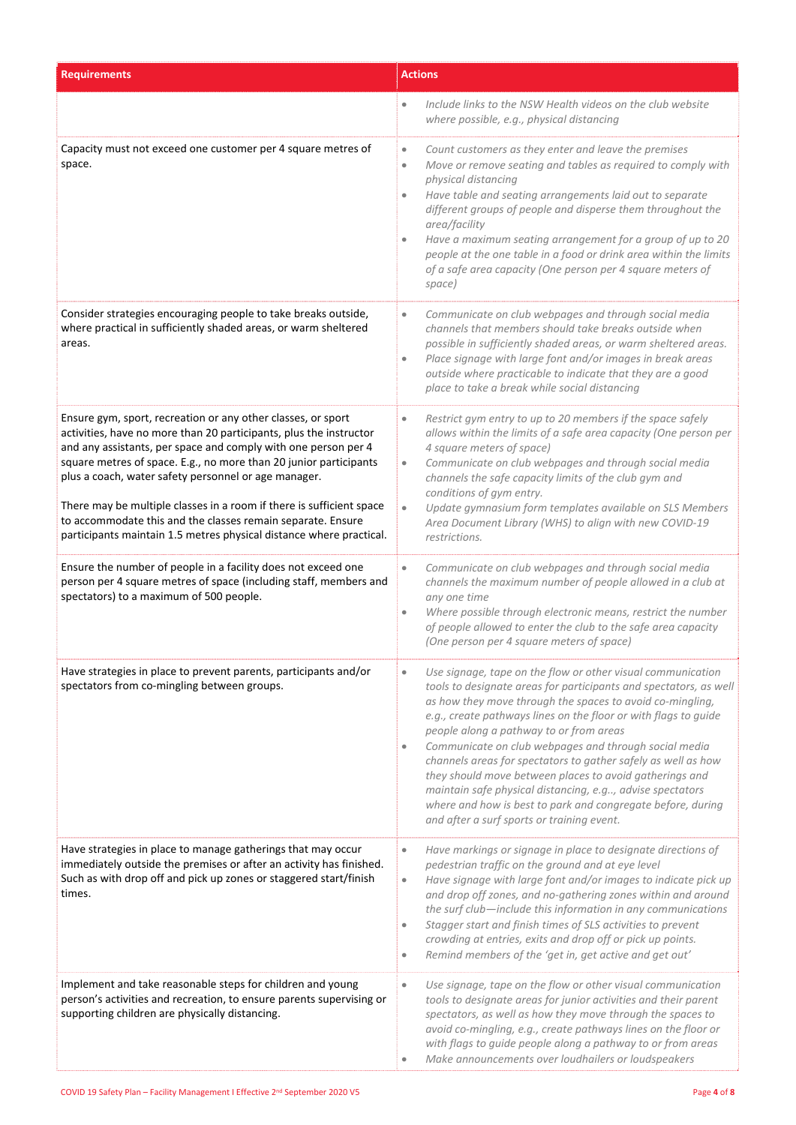| <b>Requirements</b>                                                                                                                                                                                                                                                                                                                                                                                                                                                                                                                             | <b>Actions</b>                                                                                                                                                                                                                                                                                                                                                                                                                                                                                                                                                                                                                                                                          |
|-------------------------------------------------------------------------------------------------------------------------------------------------------------------------------------------------------------------------------------------------------------------------------------------------------------------------------------------------------------------------------------------------------------------------------------------------------------------------------------------------------------------------------------------------|-----------------------------------------------------------------------------------------------------------------------------------------------------------------------------------------------------------------------------------------------------------------------------------------------------------------------------------------------------------------------------------------------------------------------------------------------------------------------------------------------------------------------------------------------------------------------------------------------------------------------------------------------------------------------------------------|
|                                                                                                                                                                                                                                                                                                                                                                                                                                                                                                                                                 | Include links to the NSW Health videos on the club website<br>$\bullet$<br>where possible, e.g., physical distancing                                                                                                                                                                                                                                                                                                                                                                                                                                                                                                                                                                    |
| Capacity must not exceed one customer per 4 square metres of<br>space.                                                                                                                                                                                                                                                                                                                                                                                                                                                                          | Count customers as they enter and leave the premises<br>$\qquad \qquad \bullet$<br>Move or remove seating and tables as required to comply with<br>$\bullet$<br>physical distancing<br>Have table and seating arrangements laid out to separate<br>$\bullet$<br>different groups of people and disperse them throughout the<br>area/facility<br>Have a maximum seating arrangement for a group of up to 20<br>people at the one table in a food or drink area within the limits<br>of a safe area capacity (One person per 4 square meters of<br>space)                                                                                                                                 |
| Consider strategies encouraging people to take breaks outside,<br>where practical in sufficiently shaded areas, or warm sheltered<br>areas.                                                                                                                                                                                                                                                                                                                                                                                                     | Communicate on club webpages and through social media<br>$\bullet$<br>channels that members should take breaks outside when<br>possible in sufficiently shaded areas, or warm sheltered areas.<br>Place signage with large font and/or images in break areas<br>$\bullet$<br>outside where practicable to indicate that they are a good<br>place to take a break while social distancing                                                                                                                                                                                                                                                                                                |
| Ensure gym, sport, recreation or any other classes, or sport<br>activities, have no more than 20 participants, plus the instructor<br>and any assistants, per space and comply with one person per 4<br>square metres of space. E.g., no more than 20 junior participants<br>plus a coach, water safety personnel or age manager.<br>There may be multiple classes in a room if there is sufficient space<br>to accommodate this and the classes remain separate. Ensure<br>participants maintain 1.5 metres physical distance where practical. | Restrict gym entry to up to 20 members if the space safely<br>$\bullet$<br>allows within the limits of a safe area capacity (One person per<br>4 square meters of space)<br>Communicate on club webpages and through social media<br>$\bullet$<br>channels the safe capacity limits of the club gym and<br>conditions of gym entry.<br>Update gymnasium form templates available on SLS Members<br>$\bullet$<br>Area Document Library (WHS) to align with new COVID-19<br>restrictions.                                                                                                                                                                                                 |
| Ensure the number of people in a facility does not exceed one<br>person per 4 square metres of space (including staff, members and<br>spectators) to a maximum of 500 people.                                                                                                                                                                                                                                                                                                                                                                   | Communicate on club webpages and through social media<br>$\bullet$<br>channels the maximum number of people allowed in a club at<br>any one time<br>Where possible through electronic means, restrict the number<br>۰<br>of people allowed to enter the club to the safe area capacity<br>(One person per 4 square meters of space)                                                                                                                                                                                                                                                                                                                                                     |
| Have strategies in place to prevent parents, participants and/or<br>spectators from co-mingling between groups.                                                                                                                                                                                                                                                                                                                                                                                                                                 | Use signage, tape on the flow or other visual communication<br>tools to designate areas for participants and spectators, as well<br>as how they move through the spaces to avoid co-mingling,<br>e.g., create pathways lines on the floor or with flags to guide<br>people along a pathway to or from areas<br>Communicate on club webpages and through social media<br>$\bullet$<br>channels areas for spectators to gather safely as well as how<br>they should move between places to avoid gatherings and<br>maintain safe physical distancing, e.g, advise spectators<br>where and how is best to park and congregate before, during<br>and after a surf sports or training event. |
| Have strategies in place to manage gatherings that may occur<br>immediately outside the premises or after an activity has finished.<br>Such as with drop off and pick up zones or staggered start/finish<br>times.                                                                                                                                                                                                                                                                                                                              | Have markings or signage in place to designate directions of<br>$\bullet$<br>pedestrian traffic on the ground and at eye level<br>Have signage with large font and/or images to indicate pick up<br>$\bullet$<br>and drop off zones, and no-gathering zones within and around<br>the surf club-include this information in any communications<br>Stagger start and finish times of SLS activities to prevent<br>$\bullet$<br>crowding at entries, exits and drop off or pick up points.<br>Remind members of the 'get in, get active and get out'<br>$\bullet$                                                                                                                          |
| Implement and take reasonable steps for children and young<br>person's activities and recreation, to ensure parents supervising or<br>supporting children are physically distancing.                                                                                                                                                                                                                                                                                                                                                            | Use signage, tape on the flow or other visual communication<br>$\bullet$<br>tools to designate areas for junior activities and their parent<br>spectators, as well as how they move through the spaces to<br>avoid co-mingling, e.g., create pathways lines on the floor or<br>with flags to guide people along a pathway to or from areas<br>Make announcements over loudhailers or loudspeakers                                                                                                                                                                                                                                                                                       |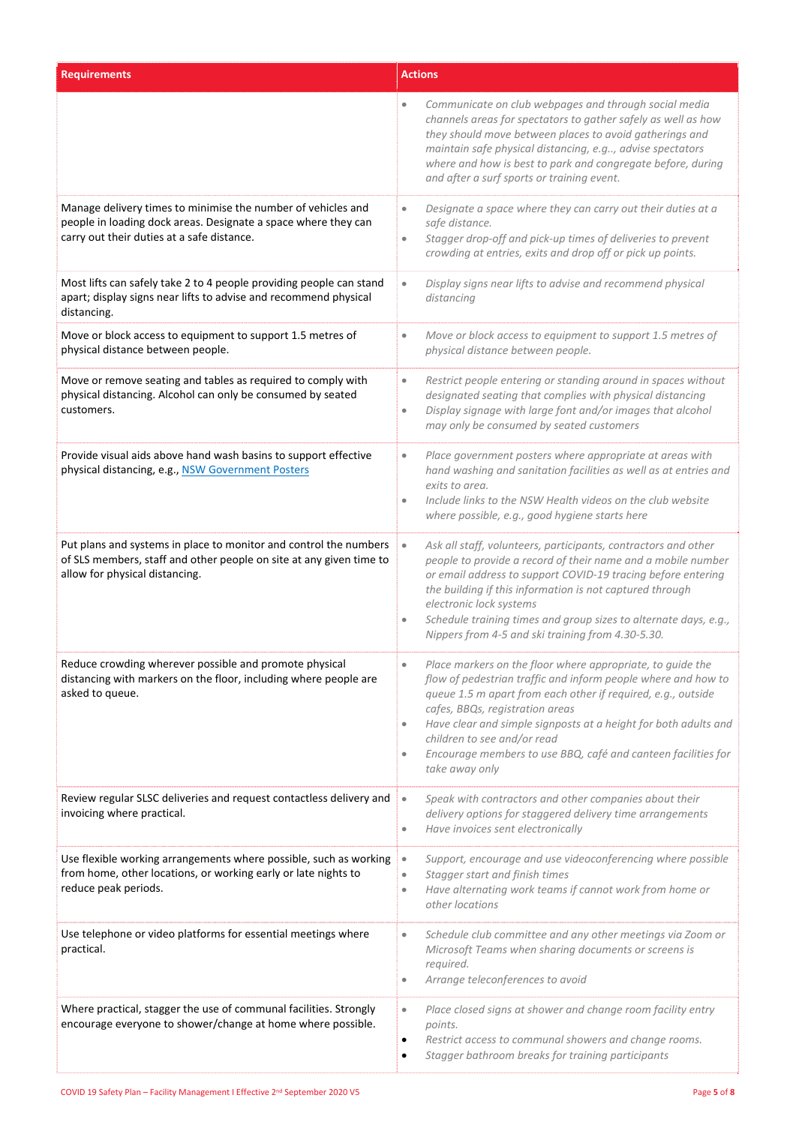| <b>Requirements</b>                                                                                                                                                          | <b>Actions</b>                                                                                                                                                                                                                                                                                                                                                                                                                                              |
|------------------------------------------------------------------------------------------------------------------------------------------------------------------------------|-------------------------------------------------------------------------------------------------------------------------------------------------------------------------------------------------------------------------------------------------------------------------------------------------------------------------------------------------------------------------------------------------------------------------------------------------------------|
|                                                                                                                                                                              | Communicate on club webpages and through social media<br>channels areas for spectators to gather safely as well as how<br>they should move between places to avoid gatherings and<br>maintain safe physical distancing, e.g, advise spectators<br>where and how is best to park and congregate before, during<br>and after a surf sports or training event.                                                                                                 |
| Manage delivery times to minimise the number of vehicles and<br>people in loading dock areas. Designate a space where they can<br>carry out their duties at a safe distance. | Designate a space where they can carry out their duties at a<br>$\bullet$<br>safe distance.<br>Stagger drop-off and pick-up times of deliveries to prevent<br>$\bullet$<br>crowding at entries, exits and drop off or pick up points.                                                                                                                                                                                                                       |
| Most lifts can safely take 2 to 4 people providing people can stand<br>apart; display signs near lifts to advise and recommend physical<br>distancing.                       | Display signs near lifts to advise and recommend physical<br>$\bullet$<br>distancing                                                                                                                                                                                                                                                                                                                                                                        |
| Move or block access to equipment to support 1.5 metres of<br>physical distance between people.                                                                              | Move or block access to equipment to support 1.5 metres of<br>$\bullet$<br>physical distance between people.                                                                                                                                                                                                                                                                                                                                                |
| Move or remove seating and tables as required to comply with<br>physical distancing. Alcohol can only be consumed by seated<br>customers.                                    | Restrict people entering or standing around in spaces without<br>$\bullet$<br>designated seating that complies with physical distancing<br>Display signage with large font and/or images that alcohol<br>$\bullet$<br>may only be consumed by seated customers                                                                                                                                                                                              |
| Provide visual aids above hand wash basins to support effective<br>physical distancing, e.g., NSW Government Posters                                                         | Place government posters where appropriate at areas with<br>$\bullet$<br>hand washing and sanitation facilities as well as at entries and<br>exits to area.<br>Include links to the NSW Health videos on the club website<br>$\bullet$<br>where possible, e.g., good hygiene starts here                                                                                                                                                                    |
| Put plans and systems in place to monitor and control the numbers<br>of SLS members, staff and other people on site at any given time to<br>allow for physical distancing.   | Ask all staff, volunteers, participants, contractors and other<br>$\bullet$<br>people to provide a record of their name and a mobile number<br>or email address to support COVID-19 tracing before entering<br>the building if this information is not captured through<br>electronic lock systems<br>Schedule training times and group sizes to alternate days, e.g.,<br>Nippers from 4-5 and ski training from 4.30-5.30.                                 |
| Reduce crowding wherever possible and promote physical<br>distancing with markers on the floor, including where people are<br>asked to queue.                                | Place markers on the floor where appropriate, to guide the<br>flow of pedestrian traffic and inform people where and how to<br>queue 1.5 m apart from each other if required, e.g., outside<br>cafes, BBQs, registration areas<br>Have clear and simple signposts at a height for both adults and<br>$\qquad \qquad \bullet$<br>children to see and/or read<br>Encourage members to use BBQ, café and canteen facilities for<br>$\bullet$<br>take away only |
| Review regular SLSC deliveries and request contactless delivery and<br>invoicing where practical.                                                                            | Speak with contractors and other companies about their<br>$\bullet$<br>delivery options for staggered delivery time arrangements<br>Have invoices sent electronically<br>$\bullet$                                                                                                                                                                                                                                                                          |
| Use flexible working arrangements where possible, such as working<br>from home, other locations, or working early or late nights to<br>reduce peak periods.                  | Support, encourage and use videoconferencing where possible<br>$\bullet$<br>Stagger start and finish times<br>$\bullet$<br>Have alternating work teams if cannot work from home or<br>$\bullet$<br>other locations                                                                                                                                                                                                                                          |
| Use telephone or video platforms for essential meetings where<br>practical.                                                                                                  | Schedule club committee and any other meetings via Zoom or<br>$\bullet$<br>Microsoft Teams when sharing documents or screens is<br>required.<br>Arrange teleconferences to avoid<br>۰                                                                                                                                                                                                                                                                       |
| Where practical, stagger the use of communal facilities. Strongly<br>encourage everyone to shower/change at home where possible.                                             | Place closed signs at shower and change room facility entry<br>$\bullet$<br>points.<br>Restrict access to communal showers and change rooms.<br>٠<br>Stagger bathroom breaks for training participants<br>٠                                                                                                                                                                                                                                                 |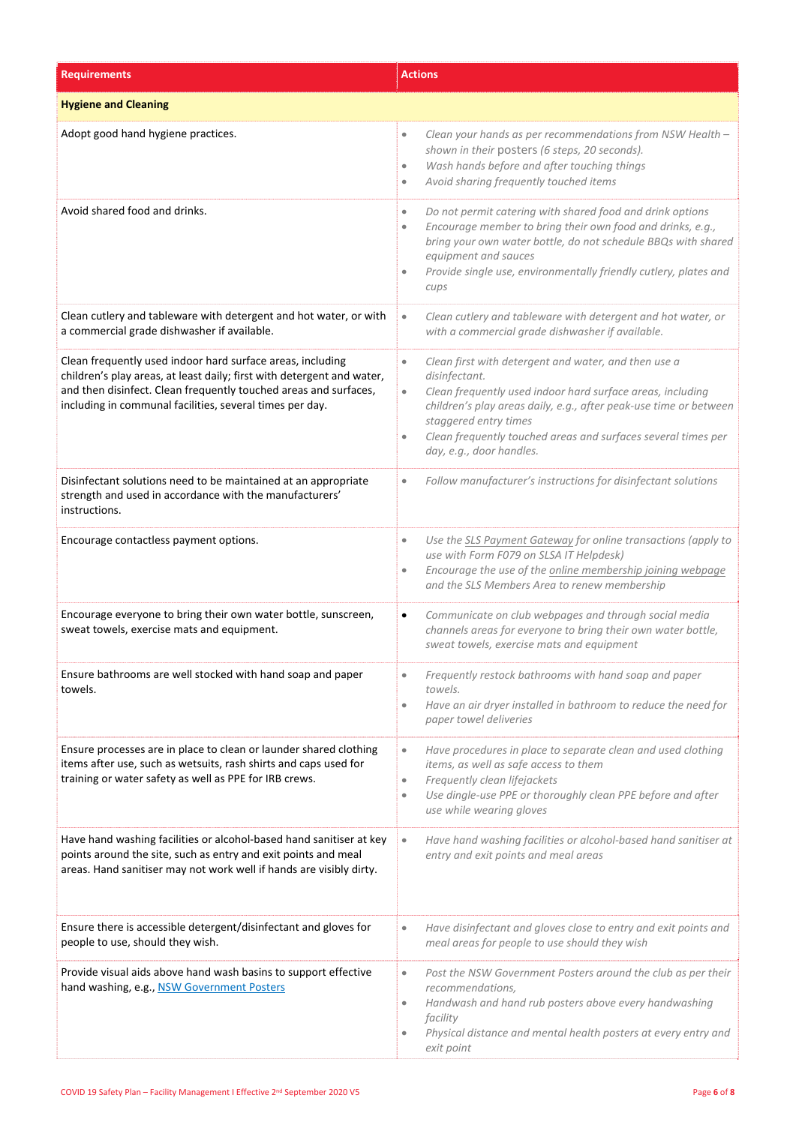| <b>Requirements</b>                                                                                                                                                                                                                                                  | <b>Actions</b>                                                                                                                                                                                                                                                                                                                                                        |
|----------------------------------------------------------------------------------------------------------------------------------------------------------------------------------------------------------------------------------------------------------------------|-----------------------------------------------------------------------------------------------------------------------------------------------------------------------------------------------------------------------------------------------------------------------------------------------------------------------------------------------------------------------|
| <b>Hygiene and Cleaning</b>                                                                                                                                                                                                                                          |                                                                                                                                                                                                                                                                                                                                                                       |
| Adopt good hand hygiene practices.                                                                                                                                                                                                                                   | Clean your hands as per recommendations from NSW Health -<br>$\bullet$<br>shown in their posters (6 steps, 20 seconds).<br>Wash hands before and after touching things<br>$\bullet$<br>Avoid sharing frequently touched items<br>$\bullet$                                                                                                                            |
| Avoid shared food and drinks.                                                                                                                                                                                                                                        | Do not permit catering with shared food and drink options<br>$\bullet$<br>Encourage member to bring their own food and drinks, e.g.,<br>$\bullet$<br>bring your own water bottle, do not schedule BBQs with shared<br>equipment and sauces<br>Provide single use, environmentally friendly cutlery, plates and<br>cups                                                |
| Clean cutlery and tableware with detergent and hot water, or with<br>a commercial grade dishwasher if available.                                                                                                                                                     | Clean cutlery and tableware with detergent and hot water, or<br>$\bullet$<br>with a commercial grade dishwasher if available.                                                                                                                                                                                                                                         |
| Clean frequently used indoor hard surface areas, including<br>children's play areas, at least daily; first with detergent and water,<br>and then disinfect. Clean frequently touched areas and surfaces,<br>including in communal facilities, several times per day. | Clean first with detergent and water, and then use a<br>$\bullet$<br>disinfectant.<br>Clean frequently used indoor hard surface areas, including<br>$\bullet$<br>children's play areas daily, e.g., after peak-use time or between<br>staggered entry times<br>Clean frequently touched areas and surfaces several times per<br>$\bullet$<br>day, e.g., door handles. |
| Disinfectant solutions need to be maintained at an appropriate<br>strength and used in accordance with the manufacturers'<br>instructions.                                                                                                                           | Follow manufacturer's instructions for disinfectant solutions<br>$\bullet$                                                                                                                                                                                                                                                                                            |
| Encourage contactless payment options.                                                                                                                                                                                                                               | Use the SLS Payment Gateway for online transactions (apply to<br>$\bullet$<br>use with Form F079 on SLSA IT Helpdesk)<br>Encourage the use of the online membership joining webpage<br>$\bullet$<br>and the SLS Members Area to renew membership                                                                                                                      |
| Encourage everyone to bring their own water bottle, sunscreen,<br>sweat towels, exercise mats and equipment.                                                                                                                                                         | Communicate on club webpages and through social media<br>$\bullet$<br>channels areas for everyone to bring their own water bottle,<br>sweat towels, exercise mats and equipment                                                                                                                                                                                       |
| Ensure bathrooms are well stocked with hand soap and paper<br>towels.                                                                                                                                                                                                | Frequently restock bathrooms with hand soap and paper<br>$\bullet$<br>towels.<br>Have an air dryer installed in bathroom to reduce the need for<br>$\bullet$<br>paper towel deliveries                                                                                                                                                                                |
| Ensure processes are in place to clean or launder shared clothing<br>items after use, such as wetsuits, rash shirts and caps used for<br>training or water safety as well as PPE for IRB crews.                                                                      | Have procedures in place to separate clean and used clothing<br>$\qquad \qquad \bullet$<br>items, as well as safe access to them<br>Frequently clean lifejackets<br>$\bullet$<br>Use dingle-use PPE or thoroughly clean PPE before and after<br>$\bullet$<br>use while wearing gloves                                                                                 |
| Have hand washing facilities or alcohol-based hand sanitiser at key<br>points around the site, such as entry and exit points and meal<br>areas. Hand sanitiser may not work well if hands are visibly dirty.                                                         | Have hand washing facilities or alcohol-based hand sanitiser at<br>$\bullet$<br>entry and exit points and meal areas                                                                                                                                                                                                                                                  |
| Ensure there is accessible detergent/disinfectant and gloves for<br>people to use, should they wish.                                                                                                                                                                 | Have disinfectant and gloves close to entry and exit points and<br>$\bullet$<br>meal areas for people to use should they wish                                                                                                                                                                                                                                         |
| Provide visual aids above hand wash basins to support effective<br>hand washing, e.g., NSW Government Posters                                                                                                                                                        | Post the NSW Government Posters around the club as per their<br>$\bullet$<br>recommendations,<br>Handwash and hand rub posters above every handwashing<br>$\qquad \qquad \bullet$<br>facility<br>Physical distance and mental health posters at every entry and<br>$\bullet$<br>exit point                                                                            |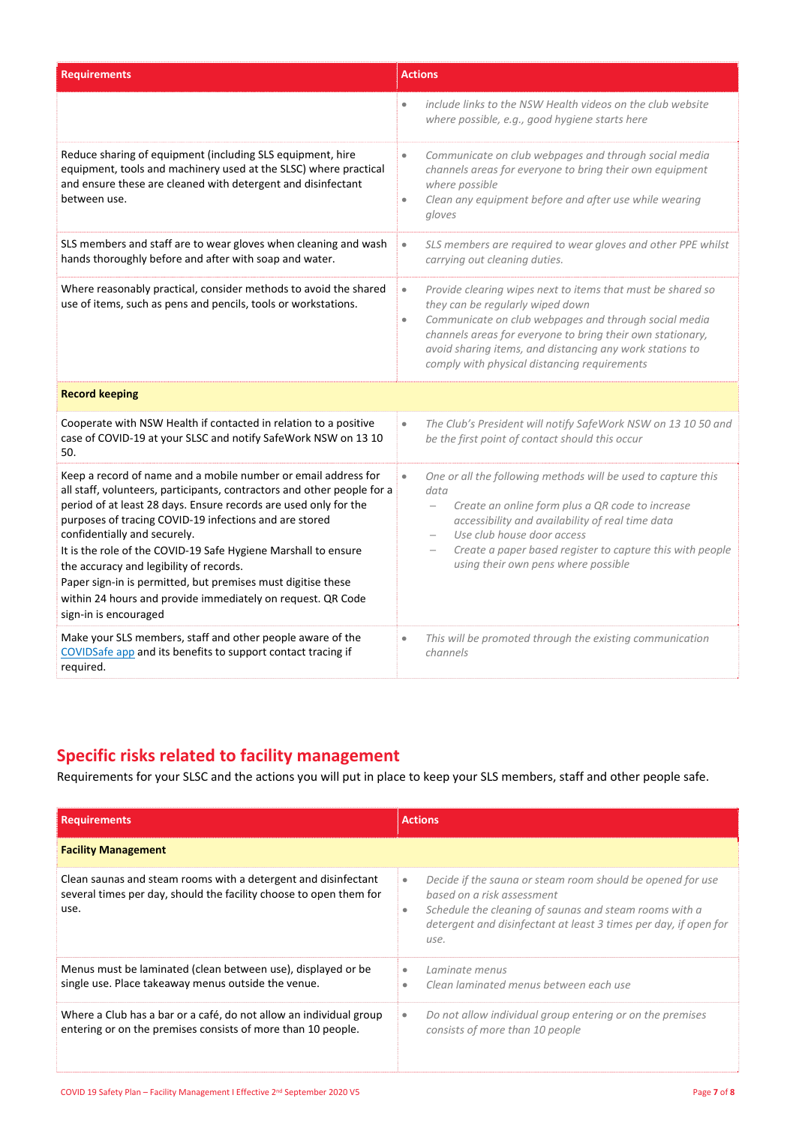| <b>Requirements</b>                                                                                                                                                                                                                                                                                                                                                                                                                                                                                                                                                          | <b>Actions</b>                                                                                                                                                                                                                                                                                                                                                                       |
|------------------------------------------------------------------------------------------------------------------------------------------------------------------------------------------------------------------------------------------------------------------------------------------------------------------------------------------------------------------------------------------------------------------------------------------------------------------------------------------------------------------------------------------------------------------------------|--------------------------------------------------------------------------------------------------------------------------------------------------------------------------------------------------------------------------------------------------------------------------------------------------------------------------------------------------------------------------------------|
|                                                                                                                                                                                                                                                                                                                                                                                                                                                                                                                                                                              | include links to the NSW Health videos on the club website<br>where possible, e.g., good hygiene starts here                                                                                                                                                                                                                                                                         |
| Reduce sharing of equipment (including SLS equipment, hire<br>equipment, tools and machinery used at the SLSC) where practical<br>and ensure these are cleaned with detergent and disinfectant<br>between use.                                                                                                                                                                                                                                                                                                                                                               | Communicate on club webpages and through social media<br>$\bullet$<br>channels areas for everyone to bring their own equipment<br>where possible<br>Clean any equipment before and after use while wearing<br>$\bullet$<br>gloves                                                                                                                                                    |
| SLS members and staff are to wear gloves when cleaning and wash<br>hands thoroughly before and after with soap and water.                                                                                                                                                                                                                                                                                                                                                                                                                                                    | SLS members are required to wear gloves and other PPE whilst<br>$\bullet$<br>carrying out cleaning duties.                                                                                                                                                                                                                                                                           |
| Where reasonably practical, consider methods to avoid the shared<br>use of items, such as pens and pencils, tools or workstations.                                                                                                                                                                                                                                                                                                                                                                                                                                           | Provide clearing wipes next to items that must be shared so<br>$\bullet$<br>they can be regularly wiped down<br>Communicate on club webpages and through social media<br>$\bullet$<br>channels areas for everyone to bring their own stationary,<br>avoid sharing items, and distancing any work stations to<br>comply with physical distancing requirements                         |
| <b>Record keeping</b>                                                                                                                                                                                                                                                                                                                                                                                                                                                                                                                                                        |                                                                                                                                                                                                                                                                                                                                                                                      |
| Cooperate with NSW Health if contacted in relation to a positive<br>case of COVID-19 at your SLSC and notify SafeWork NSW on 13 10<br>50.                                                                                                                                                                                                                                                                                                                                                                                                                                    | The Club's President will notify SafeWork NSW on 13 10 50 and<br>$\bullet$<br>be the first point of contact should this occur                                                                                                                                                                                                                                                        |
| Keep a record of name and a mobile number or email address for<br>all staff, volunteers, participants, contractors and other people for a<br>period of at least 28 days. Ensure records are used only for the<br>purposes of tracing COVID-19 infections and are stored<br>confidentially and securely.<br>It is the role of the COVID-19 Safe Hygiene Marshall to ensure<br>the accuracy and legibility of records.<br>Paper sign-in is permitted, but premises must digitise these<br>within 24 hours and provide immediately on request. QR Code<br>sign-in is encouraged | $\bullet$<br>One or all the following methods will be used to capture this<br>data<br>Create an online form plus a QR code to increase<br>$\overline{\phantom{0}}$<br>accessibility and availability of real time data<br>Use club house door access<br>$\overline{\phantom{0}}$<br>Create a paper based register to capture this with people<br>using their own pens where possible |
| Make your SLS members, staff and other people aware of the<br>COVIDSafe app and its benefits to support contact tracing if<br>required.                                                                                                                                                                                                                                                                                                                                                                                                                                      | This will be promoted through the existing communication<br>$\bullet$<br>channels                                                                                                                                                                                                                                                                                                    |

## **Specific risks related to facility management**

Requirements for your SLSC and the actions you will put in place to keep your SLS members, staff and other people safe.

| <b>Requirements</b>                                                                                                                          | <b>Actions</b>                                                                                                                                                                                                                                   |
|----------------------------------------------------------------------------------------------------------------------------------------------|--------------------------------------------------------------------------------------------------------------------------------------------------------------------------------------------------------------------------------------------------|
| <b>Facility Management</b>                                                                                                                   |                                                                                                                                                                                                                                                  |
| Clean saunas and steam rooms with a detergent and disinfectant<br>several times per day, should the facility choose to open them for<br>use. | Decide if the sauna or steam room should be opened for use<br>$\bullet$<br>based on a risk assessment<br>Schedule the cleaning of saunas and steam rooms with a<br>۰<br>detergent and disinfectant at least 3 times per day, if open for<br>use. |
| Menus must be laminated (clean between use), displayed or be<br>single use. Place takeaway menus outside the venue.                          | Laminate menus<br>۰<br>Clean laminated menus between each use<br>۵                                                                                                                                                                               |
| Where a Club has a bar or a café, do not allow an individual group<br>entering or on the premises consists of more than 10 people.           | Do not allow individual group entering or on the premises<br>$\bullet$<br>consists of more than 10 people                                                                                                                                        |